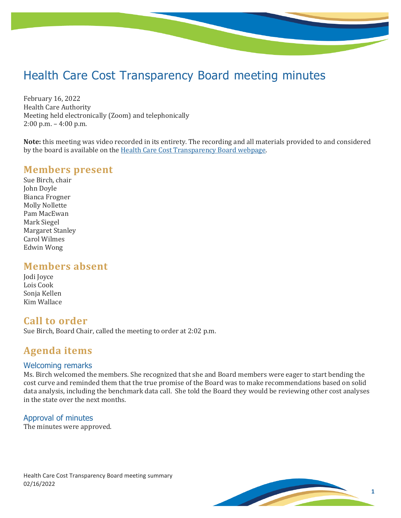# Health Care Cost Transparency Board meeting minutes

February 16, 2022 Health Care Authority Meeting held electronically (Zoom) and telephonically 2:00 p.m. – 4:00 p.m.

**Note:** this meeting was video recorded in its entirety. The recording and all materials provided to and considered by the board is available on th[e Health Care Cost Transparency Board webpage.](https://www.hca.wa.gov/about-hca/health-care-cost-transparency-board)

## **Members present**

Sue Birch, chair John Doyle Bianca Frogner Molly Nollette Pam MacEwan Mark Siegel Margaret Stanley Carol Wilmes Edwin Wong

## **Members absent**

| Jodi Joyce   |
|--------------|
| Lois Cook    |
| Sonja Kellen |
| Kim Wallace  |

## **Call to order**

Sue Birch, Board Chair, called the meeting to order at 2:02 p.m.

# **Agenda items**

#### Welcoming remarks

Ms. Birch welcomed the members. She recognized that she and Board members were eager to start bending the cost curve and reminded them that the true promise of the Board was to make recommendations based on solid data analysis, including the benchmark data call. She told the Board they would be reviewing other cost analyses in the state over the next months.

#### Approval of minutes

The minutes were approved.

Health Care Cost Transparency Board meeting summary 02/16/2022

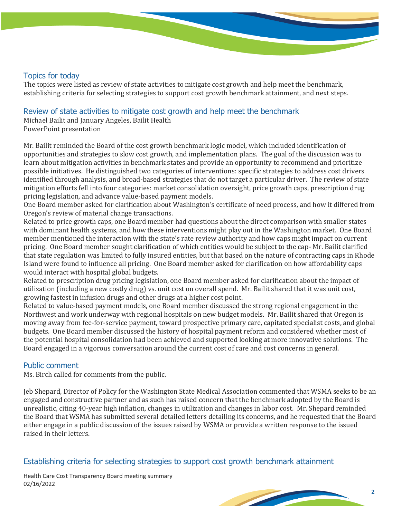#### Topics for today

The topics were listed as review of state activities to mitigate cost growth and help meet the benchmark, establishing criteria for selecting strategies to support cost growth benchmark attainment, and next steps.

#### Review of state activities to mitigate cost growth and help meet the benchmark

Michael Bailit and January Angeles, Bailit Health PowerPoint presentation

Mr. Bailit reminded the Board of the cost growth benchmark logic model, which included identification of opportunities and strategies to slow cost growth, and implementation plans. The goal of the discussion was to learn about mitigation activities in benchmark states and provide an opportunity to recommend and prioritize possible initiatives. He distinguished two categories of interventions: specific strategies to address cost drivers identified through analysis, and broad-based strategies that do not target a particular driver. The review of state mitigation efforts fell into four categories: market consolidation oversight, price growth caps, prescription drug pricing legislation, and advance value-based payment models.

One Board member asked for clarification about Washington's certificate of need process, and how it differed from Oregon's review of material change transactions.

Related to price growth caps, one Board member had questions about the direct comparison with smaller states with dominant health systems, and how these interventions might play out in the Washington market. One Board member mentioned the interaction with the state's rate review authority and how caps might impact on current pricing. One Board member sought clarification of which entities would be subject to the cap- Mr. Bailit clarified that state regulation was limited to fully insured entities, but that based on the nature of contracting caps in Rhode Island were found to influence all pricing. One Board member asked for clarification on how affordability caps would interact with hospital global budgets.

Related to prescription drug pricing legislation, one Board member asked for clarification about the impact of utilization (including a new costly drug) vs. unit cost on overall spend. Mr. Bailit shared that it was unit cost, growing fastest in infusion drugs and other drugs at a higher cost point.

Related to value-based payment models, one Board member discussed the strong regional engagement in the Northwest and work underway with regional hospitals on new budget models. Mr. Bailit shared that Oregon is moving away from fee-for-service payment, toward prospective primary care, capitated specialist costs, and global budgets. One Board member discussed the history of hospital payment reform and considered whether most of the potential hospital consolidation had been achieved and supported looking at more innovative solutions. The Board engaged in a vigorous conversation around the current cost of care and cost concerns in general.

#### Public comment

Ms. Birch called for comments from the public.

Jeb Shepard, Director of Policy for the Washington State Medical Association commented that WSMA seeks to be an engaged and constructive partner and as such has raised concern that the benchmark adopted by the Board is unrealistic, citing 40-year high inflation, changes in utilization and changes in labor cost. Mr. Shepard reminded the Board that WSMA has submitted several detailed letters detailing its concerns, and he requested that the Board either engage in a public discussion of the issues raised by WSMA or provide a written response to the issued raised in their letters.

#### Establishing criteria for selecting strategies to support cost growth benchmark attainment

Health Care Cost Transparency Board meeting summary 02/16/2022